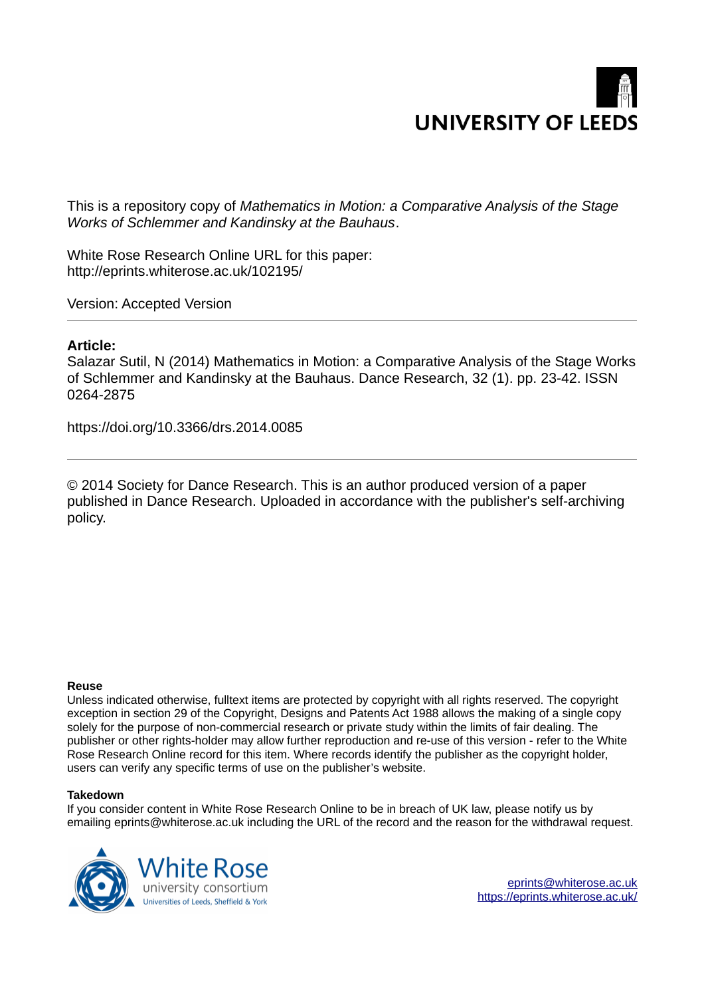

This is a repository copy of *Mathematics in Motion: a Comparative Analysis of the Stage Works of Schlemmer and Kandinsky at the Bauhaus*.

White Rose Research Online URL for this paper: http://eprints.whiterose.ac.uk/102195/

Version: Accepted Version

## **Article:**

Salazar Sutil, N (2014) Mathematics in Motion: a Comparative Analysis of the Stage Works of Schlemmer and Kandinsky at the Bauhaus. Dance Research, 32 (1). pp. 23-42. ISSN 0264-2875

https://doi.org/10.3366/drs.2014.0085

© 2014 Society for Dance Research. This is an author produced version of a paper published in Dance Research. Uploaded in accordance with the publisher's self-archiving policy.

#### **Reuse**

Unless indicated otherwise, fulltext items are protected by copyright with all rights reserved. The copyright exception in section 29 of the Copyright, Designs and Patents Act 1988 allows the making of a single copy solely for the purpose of non-commercial research or private study within the limits of fair dealing. The publisher or other rights-holder may allow further reproduction and re-use of this version - refer to the White Rose Research Online record for this item. Where records identify the publisher as the copyright holder, users can verify any specific terms of use on the publisher's website.

#### **Takedown**

If you consider content in White Rose Research Online to be in breach of UK law, please notify us by emailing eprints@whiterose.ac.uk including the URL of the record and the reason for the withdrawal request.

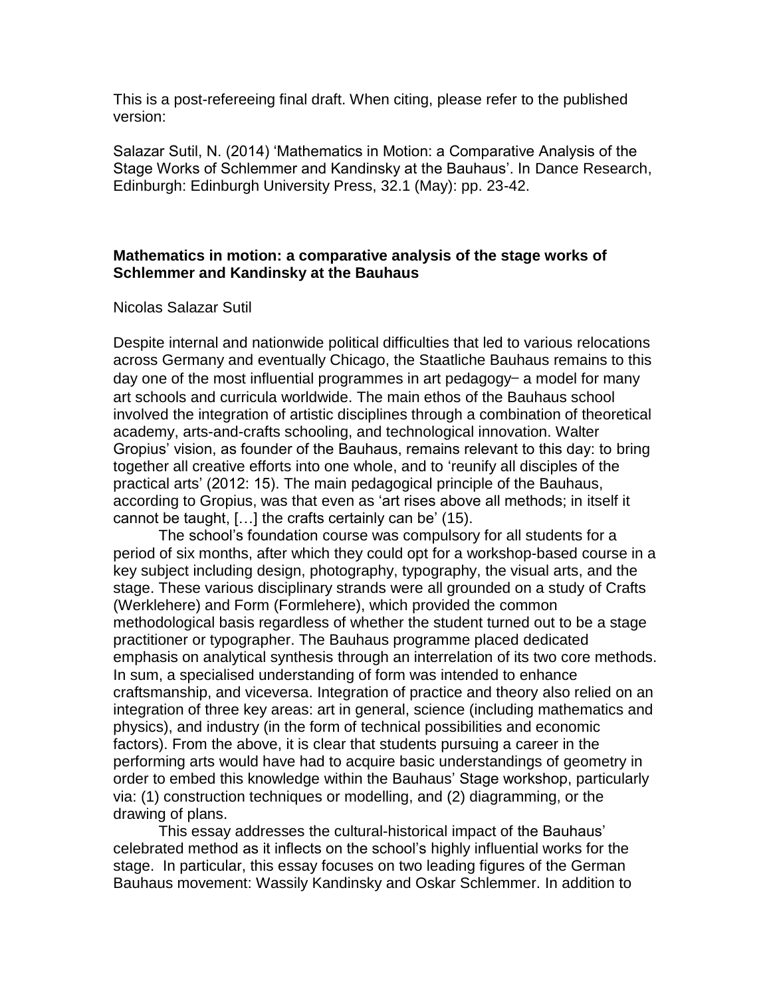This is a post-refereeing final draft. When citing, please refer to the published version:

Salazar Sutil, N. (2014) 'Mathematics in Motion: a Comparative Analysis of the Stage Works of Schlemmer and Kandinsky at the Bauhaus'. In Dance Research, Edinburgh: Edinburgh University Press, 32.1 (May): pp. 23-42.

# **Mathematics in motion: a comparative analysis of the stage works of Schlemmer and Kandinsky at the Bauhaus**

## Nicolas Salazar Sutil

Despite internal and nationwide political difficulties that led to various relocations across Germany and eventually Chicago, the Staatliche Bauhaus remains to this day one of the most influential programmes in art pedagogy- a model for many art schools and curricula worldwide. The main ethos of the Bauhaus school involved the integration of artistic disciplines through a combination of theoretical academy, arts-and-crafts schooling, and technological innovation. Walter Gropius' vision, as founder of the Bauhaus, remains relevant to this day: to bring together all creative efforts into one whole, and to 'reunify all disciples of the practical arts' (2012: 15). The main pedagogical principle of the Bauhaus, according to Gropius, was that even as 'art rises above all methods; in itself it cannot be taught, […] the crafts certainly can be' (15).

The school's foundation course was compulsory for all students for a period of six months, after which they could opt for a workshop-based course in a key subject including design, photography, typography, the visual arts, and the stage. These various disciplinary strands were all grounded on a study of Crafts (Werklehere) and Form (Formlehere), which provided the common methodological basis regardless of whether the student turned out to be a stage practitioner or typographer. The Bauhaus programme placed dedicated emphasis on analytical synthesis through an interrelation of its two core methods. In sum, a specialised understanding of form was intended to enhance craftsmanship, and viceversa. Integration of practice and theory also relied on an integration of three key areas: art in general, science (including mathematics and physics), and industry (in the form of technical possibilities and economic factors). From the above, it is clear that students pursuing a career in the performing arts would have had to acquire basic understandings of geometry in order to embed this knowledge within the Bauhaus' Stage workshop, particularly via: (1) construction techniques or modelling, and (2) diagramming, or the drawing of plans.

 This essay addresses the cultural-historical impact of the Bauhaus' celebrated method as it inflects on the school's highly influential works for the stage. In particular, this essay focuses on two leading figures of the German Bauhaus movement: Wassily Kandinsky and Oskar Schlemmer. In addition to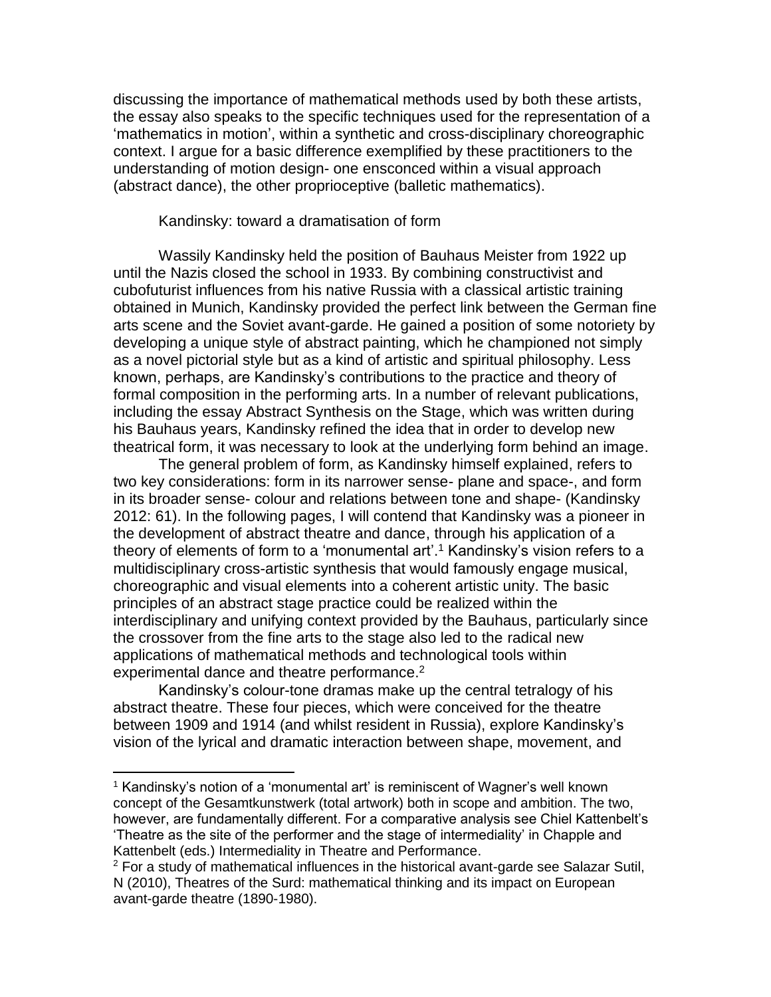discussing the importance of mathematical methods used by both these artists, the essay also speaks to the specific techniques used for the representation of a 'mathematics in motion', within a synthetic and cross-disciplinary choreographic context. I argue for a basic difference exemplified by these practitioners to the understanding of motion design- one ensconced within a visual approach (abstract dance), the other proprioceptive (balletic mathematics).

## Kandinsky: toward a dramatisation of form

Wassily Kandinsky held the position of Bauhaus Meister from 1922 up until the Nazis closed the school in 1933. By combining constructivist and cubofuturist influences from his native Russia with a classical artistic training obtained in Munich, Kandinsky provided the perfect link between the German fine arts scene and the Soviet avant-garde. He gained a position of some notoriety by developing a unique style of abstract painting, which he championed not simply as a novel pictorial style but as a kind of artistic and spiritual philosophy. Less known, perhaps, are Kandinsky's contributions to the practice and theory of formal composition in the performing arts. In a number of relevant publications, including the essay Abstract Synthesis on the Stage, which was written during his Bauhaus years, Kandinsky refined the idea that in order to develop new theatrical form, it was necessary to look at the underlying form behind an image.

The general problem of form, as Kandinsky himself explained, refers to two key considerations: form in its narrower sense- plane and space-, and form in its broader sense- colour and relations between tone and shape- (Kandinsky 2012: 61). In the following pages, I will contend that Kandinsky was a pioneer in the development of abstract theatre and dance, through his application of a theory of elements of form to a 'monumental art'. <sup>1</sup> Kandinsky's vision refers to a multidisciplinary cross-artistic synthesis that would famously engage musical, choreographic and visual elements into a coherent artistic unity. The basic principles of an abstract stage practice could be realized within the interdisciplinary and unifying context provided by the Bauhaus, particularly since the crossover from the fine arts to the stage also led to the radical new applications of mathematical methods and technological tools within experimental dance and theatre performance.<sup>2</sup>

Kandinsky's colour-tone dramas make up the central tetralogy of his abstract theatre. These four pieces, which were conceived for the theatre between 1909 and 1914 (and whilst resident in Russia), explore Kandinsky's vision of the lyrical and dramatic interaction between shape, movement, and

<sup>1</sup> Kandinsky's notion of a 'monumental art' is reminiscent of Wagner's well known concept of the Gesamtkunstwerk (total artwork) both in scope and ambition. The two, however, are fundamentally different. For a comparative analysis see Chiel Kattenbelt's 'Theatre as the site of the performer and the stage of intermediality' in Chapple and Kattenbelt (eds.) Intermediality in Theatre and Performance.

<sup>&</sup>lt;sup>2</sup> For a study of mathematical influences in the historical avant-garde see Salazar Sutil, N (2010), Theatres of the Surd: mathematical thinking and its impact on European avant-garde theatre (1890-1980).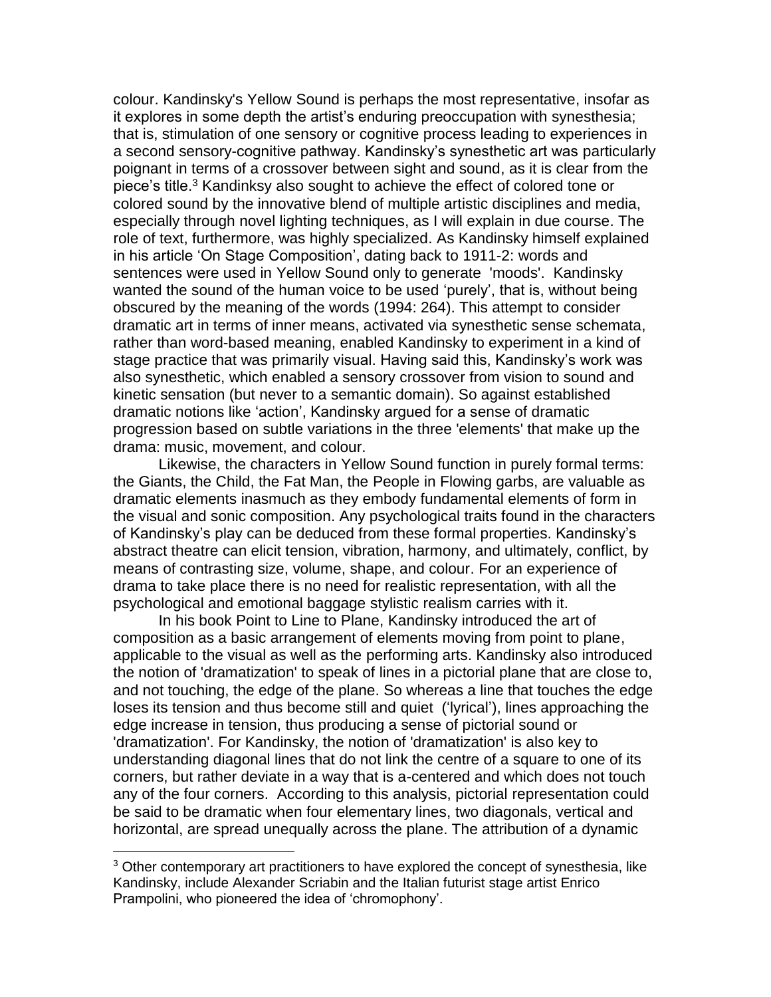colour. Kandinsky's Yellow Sound is perhaps the most representative, insofar as it explores in some depth the artist's enduring preoccupation with synesthesia; that is, stimulation of one sensory or cognitive process leading to experiences in a second sensory-cognitive pathway. Kandinsky's synesthetic art was particularly poignant in terms of a crossover between sight and sound, as it is clear from the piece's title.<sup>3</sup> Kandinksy also sought to achieve the effect of colored tone or colored sound by the innovative blend of multiple artistic disciplines and media, especially through novel lighting techniques, as I will explain in due course. The role of text, furthermore, was highly specialized. As Kandinsky himself explained in his article 'On Stage Composition', dating back to 1911-2: words and sentences were used in Yellow Sound only to generate 'moods'. Kandinsky wanted the sound of the human voice to be used 'purely', that is, without being obscured by the meaning of the words (1994: 264). This attempt to consider dramatic art in terms of inner means, activated via synesthetic sense schemata, rather than word-based meaning, enabled Kandinsky to experiment in a kind of stage practice that was primarily visual. Having said this, Kandinsky's work was also synesthetic, which enabled a sensory crossover from vision to sound and kinetic sensation (but never to a semantic domain). So against established dramatic notions like 'action', Kandinsky argued for a sense of dramatic progression based on subtle variations in the three 'elements' that make up the drama: music, movement, and colour.

Likewise, the characters in Yellow Sound function in purely formal terms: the Giants, the Child, the Fat Man, the People in Flowing garbs, are valuable as dramatic elements inasmuch as they embody fundamental elements of form in the visual and sonic composition. Any psychological traits found in the characters of Kandinsky's play can be deduced from these formal properties. Kandinsky's abstract theatre can elicit tension, vibration, harmony, and ultimately, conflict, by means of contrasting size, volume, shape, and colour. For an experience of drama to take place there is no need for realistic representation, with all the psychological and emotional baggage stylistic realism carries with it.

In his book Point to Line to Plane, Kandinsky introduced the art of composition as a basic arrangement of elements moving from point to plane, applicable to the visual as well as the performing arts. Kandinsky also introduced the notion of 'dramatization' to speak of lines in a pictorial plane that are close to, and not touching, the edge of the plane. So whereas a line that touches the edge loses its tension and thus become still and quiet ('lyrical'), lines approaching the edge increase in tension, thus producing a sense of pictorial sound or 'dramatization'. For Kandinsky, the notion of 'dramatization' is also key to understanding diagonal lines that do not link the centre of a square to one of its corners, but rather deviate in a way that is a-centered and which does not touch any of the four corners. According to this analysis, pictorial representation could be said to be dramatic when four elementary lines, two diagonals, vertical and horizontal, are spread unequally across the plane. The attribution of a dynamic

<sup>&</sup>lt;sup>3</sup> Other contemporary art practitioners to have explored the concept of synesthesia, like Kandinsky, include Alexander Scriabin and the Italian futurist stage artist Enrico Prampolini, who pioneered the idea of 'chromophony'.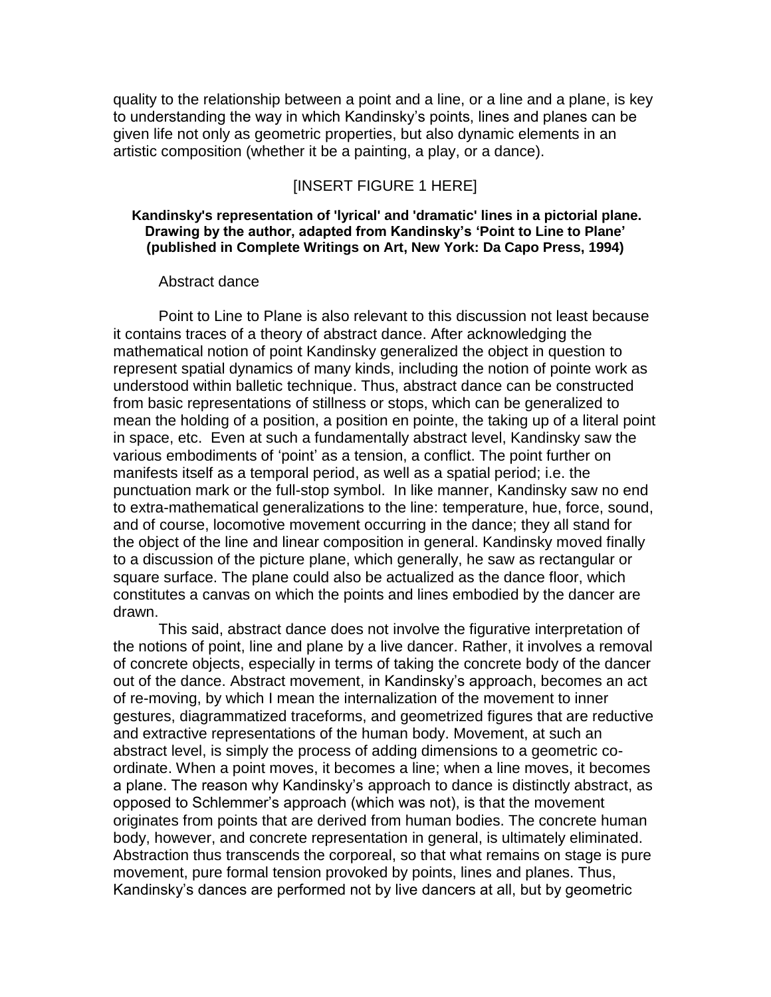quality to the relationship between a point and a line, or a line and a plane, is key to understanding the way in which Kandinsky's points, lines and planes can be given life not only as geometric properties, but also dynamic elements in an artistic composition (whether it be a painting, a play, or a dance).

# [INSERT FIGURE 1 HERE]

### **Kandinsky's representation of 'lyrical' and 'dramatic' lines in a pictorial plane. Drawing by the author, adapted from Kandinsky's 'Point to Line to Plane' (published in Complete Writings on Art, New York: Da Capo Press, 1994)**

#### Abstract dance

Point to Line to Plane is also relevant to this discussion not least because it contains traces of a theory of abstract dance. After acknowledging the mathematical notion of point Kandinsky generalized the object in question to represent spatial dynamics of many kinds, including the notion of pointe work as understood within balletic technique. Thus, abstract dance can be constructed from basic representations of stillness or stops, which can be generalized to mean the holding of a position, a position en pointe, the taking up of a literal point in space, etc. Even at such a fundamentally abstract level, Kandinsky saw the various embodiments of 'point' as a tension, a conflict. The point further on manifests itself as a temporal period, as well as a spatial period; i.e. the punctuation mark or the full-stop symbol. In like manner, Kandinsky saw no end to extra-mathematical generalizations to the line: temperature, hue, force, sound, and of course, locomotive movement occurring in the dance; they all stand for the object of the line and linear composition in general. Kandinsky moved finally to a discussion of the picture plane, which generally, he saw as rectangular or square surface. The plane could also be actualized as the dance floor, which constitutes a canvas on which the points and lines embodied by the dancer are drawn.

This said, abstract dance does not involve the figurative interpretation of the notions of point, line and plane by a live dancer. Rather, it involves a removal of concrete objects, especially in terms of taking the concrete body of the dancer out of the dance. Abstract movement, in Kandinsky's approach, becomes an act of re-moving, by which I mean the internalization of the movement to inner gestures, diagrammatized traceforms, and geometrized figures that are reductive and extractive representations of the human body. Movement, at such an abstract level, is simply the process of adding dimensions to a geometric coordinate. When a point moves, it becomes a line; when a line moves, it becomes a plane. The reason why Kandinsky's approach to dance is distinctly abstract, as opposed to Schlemmer's approach (which was not), is that the movement originates from points that are derived from human bodies. The concrete human body, however, and concrete representation in general, is ultimately eliminated. Abstraction thus transcends the corporeal, so that what remains on stage is pure movement, pure formal tension provoked by points, lines and planes. Thus, Kandinsky's dances are performed not by live dancers at all, but by geometric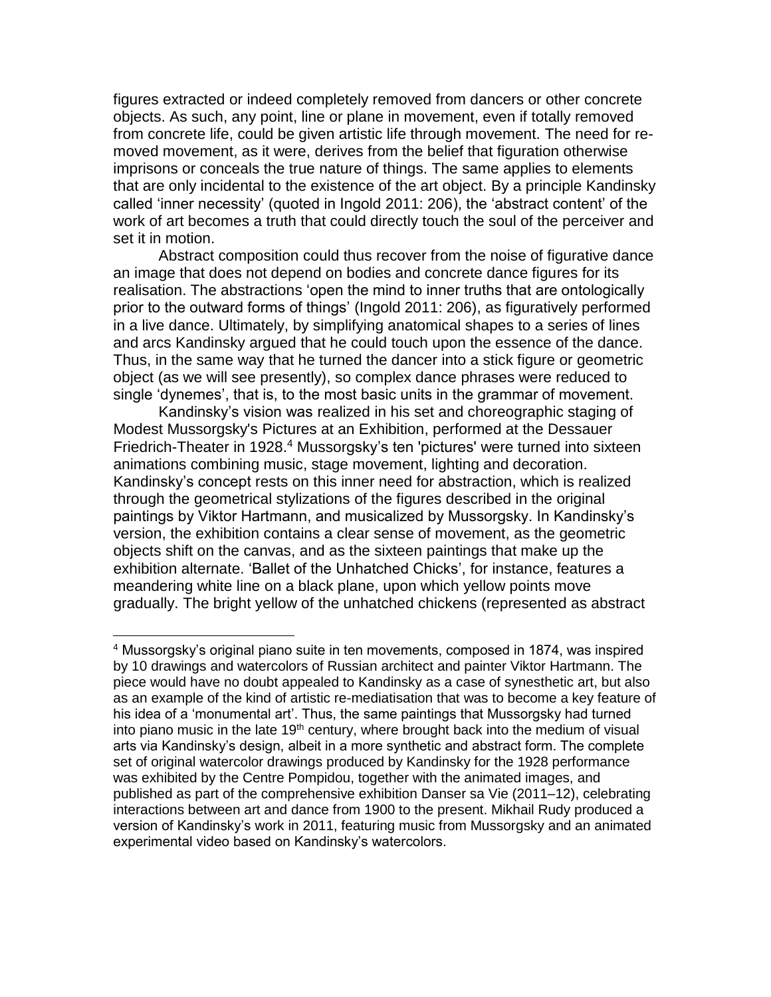figures extracted or indeed completely removed from dancers or other concrete objects. As such, any point, line or plane in movement, even if totally removed from concrete life, could be given artistic life through movement. The need for removed movement, as it were, derives from the belief that figuration otherwise imprisons or conceals the true nature of things. The same applies to elements that are only incidental to the existence of the art object. By a principle Kandinsky called 'inner necessity' (quoted in Ingold 2011: 206), the 'abstract content' of the work of art becomes a truth that could directly touch the soul of the perceiver and set it in motion.

Abstract composition could thus recover from the noise of figurative dance an image that does not depend on bodies and concrete dance figures for its realisation. The abstractions 'open the mind to inner truths that are ontologically prior to the outward forms of things' (Ingold 2011: 206), as figuratively performed in a live dance. Ultimately, by simplifying anatomical shapes to a series of lines and arcs Kandinsky argued that he could touch upon the essence of the dance. Thus, in the same way that he turned the dancer into a stick figure or geometric object (as we will see presently), so complex dance phrases were reduced to single 'dynemes', that is, to the most basic units in the grammar of movement.

Kandinsky's vision was realized in his set and choreographic staging of Modest Mussorgsky's Pictures at an Exhibition, performed at the Dessauer Friedrich-Theater in 1928.<sup>4</sup> Mussorgsky's ten 'pictures' were turned into sixteen animations combining music, stage movement, lighting and decoration. Kandinsky's concept rests on this inner need for abstraction, which is realized through the geometrical stylizations of the figures described in the original paintings by Viktor Hartmann, and musicalized by Mussorgsky. In Kandinsky's version, the exhibition contains a clear sense of movement, as the geometric objects shift on the canvas, and as the sixteen paintings that make up the exhibition alternate. 'Ballet of the Unhatched Chicks', for instance, features a meandering white line on a black plane, upon which yellow points move gradually. The bright yellow of the unhatched chickens (represented as abstract

l

<sup>4</sup> Mussorgsky's original piano suite in ten movements, composed in 1874, was inspired by 10 drawings and watercolors of Russian architect and painter Viktor Hartmann. The piece would have no doubt appealed to Kandinsky as a case of synesthetic art, but also as an example of the kind of artistic re-mediatisation that was to become a key feature of his idea of a 'monumental art'. Thus, the same paintings that Mussorgsky had turned into piano music in the late  $19<sup>th</sup>$  century, where brought back into the medium of visual arts via Kandinsky's design, albeit in a more synthetic and abstract form. The complete set of original watercolor drawings produced by Kandinsky for the 1928 performance was exhibited by the Centre Pompidou, together with the animated images, and published as part of the comprehensive exhibition Danser sa Vie (2011–12), celebrating interactions between art and dance from 1900 to the present. Mikhail Rudy produced a version of Kandinsky's work in 2011, featuring music from Mussorgsky and an animated experimental video based on Kandinsky's watercolors.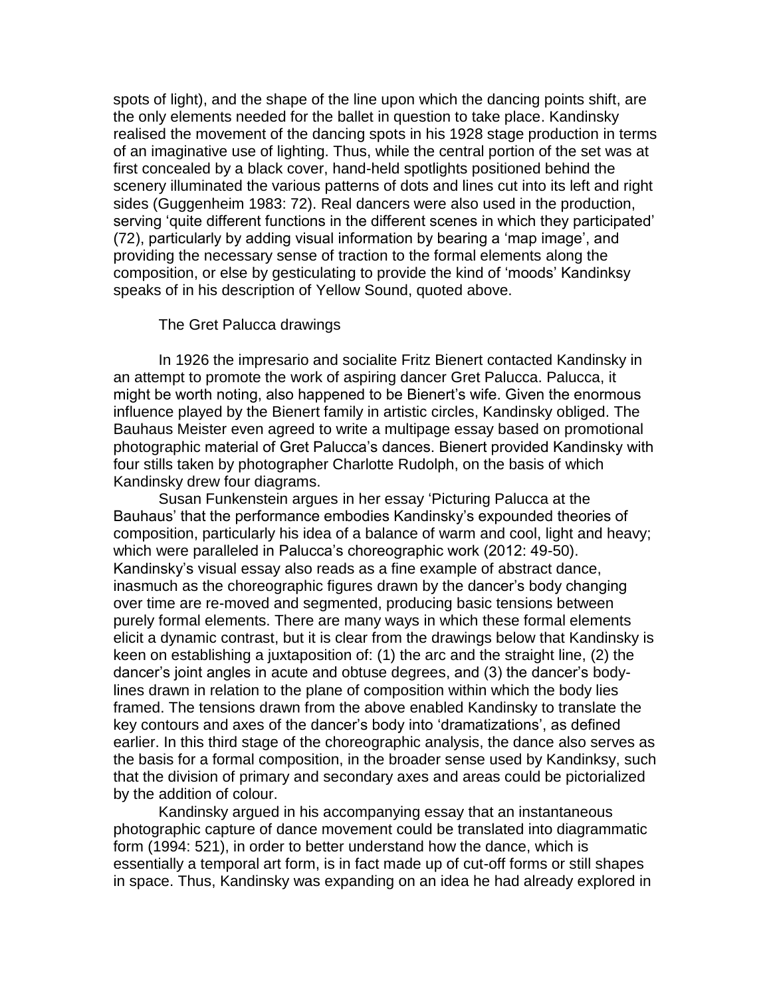spots of light), and the shape of the line upon which the dancing points shift, are the only elements needed for the ballet in question to take place. Kandinsky realised the movement of the dancing spots in his 1928 stage production in terms of an imaginative use of lighting. Thus, while the central portion of the set was at first concealed by a black cover, hand-held spotlights positioned behind the scenery illuminated the various patterns of dots and lines cut into its left and right sides (Guggenheim 1983: 72). Real dancers were also used in the production, serving 'quite different functions in the different scenes in which they participated' (72), particularly by adding visual information by bearing a 'map image', and providing the necessary sense of traction to the formal elements along the composition, or else by gesticulating to provide the kind of 'moods' Kandinksy speaks of in his description of Yellow Sound, quoted above.

### The Gret Palucca drawings

In 1926 the impresario and socialite Fritz Bienert contacted Kandinsky in an attempt to promote the work of aspiring dancer Gret Palucca. Palucca, it might be worth noting, also happened to be Bienert's wife. Given the enormous influence played by the Bienert family in artistic circles, Kandinsky obliged. The Bauhaus Meister even agreed to write a multipage essay based on promotional photographic material of Gret Palucca's dances. Bienert provided Kandinsky with four stills taken by photographer Charlotte Rudolph, on the basis of which Kandinsky drew four diagrams.

Susan Funkenstein argues in her essay 'Picturing Palucca at the Bauhaus' that the performance embodies Kandinsky's expounded theories of composition, particularly his idea of a balance of warm and cool, light and heavy; which were paralleled in Palucca's choreographic work (2012: 49-50). Kandinsky's visual essay also reads as a fine example of abstract dance, inasmuch as the choreographic figures drawn by the dancer's body changing over time are re-moved and segmented, producing basic tensions between purely formal elements. There are many ways in which these formal elements elicit a dynamic contrast, but it is clear from the drawings below that Kandinsky is keen on establishing a juxtaposition of: (1) the arc and the straight line, (2) the dancer's joint angles in acute and obtuse degrees, and (3) the dancer's bodylines drawn in relation to the plane of composition within which the body lies framed. The tensions drawn from the above enabled Kandinsky to translate the key contours and axes of the dancer's body into 'dramatizations', as defined earlier. In this third stage of the choreographic analysis, the dance also serves as the basis for a formal composition, in the broader sense used by Kandinksy, such that the division of primary and secondary axes and areas could be pictorialized by the addition of colour.

Kandinsky argued in his accompanying essay that an instantaneous photographic capture of dance movement could be translated into diagrammatic form (1994: 521), in order to better understand how the dance, which is essentially a temporal art form, is in fact made up of cut-off forms or still shapes in space. Thus, Kandinsky was expanding on an idea he had already explored in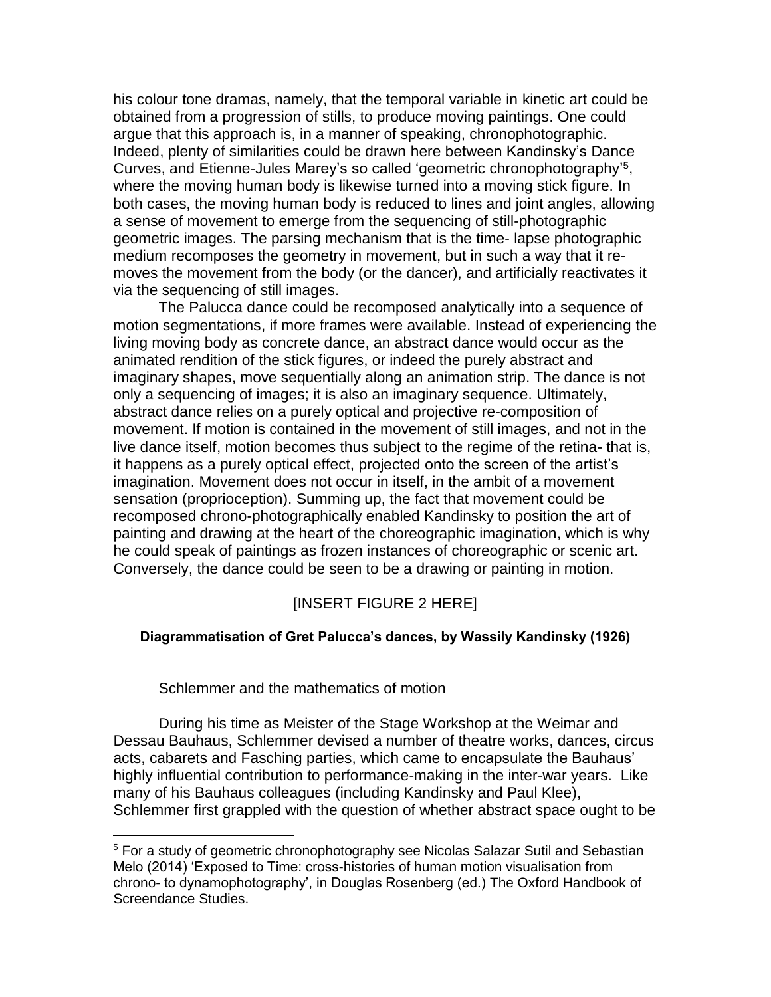his colour tone dramas, namely, that the temporal variable in kinetic art could be obtained from a progression of stills, to produce moving paintings. One could argue that this approach is, in a manner of speaking, chronophotographic. Indeed, plenty of similarities could be drawn here between Kandinsky's Dance Curves, and Etienne-Jules Marey's so called 'geometric chronophotography' 5 , where the moving human body is likewise turned into a moving stick figure. In both cases, the moving human body is reduced to lines and joint angles, allowing a sense of movement to emerge from the sequencing of still-photographic geometric images. The parsing mechanism that is the time- lapse photographic medium recomposes the geometry in movement, but in such a way that it removes the movement from the body (or the dancer), and artificially reactivates it via the sequencing of still images.

The Palucca dance could be recomposed analytically into a sequence of motion segmentations, if more frames were available. Instead of experiencing the living moving body as concrete dance, an abstract dance would occur as the animated rendition of the stick figures, or indeed the purely abstract and imaginary shapes, move sequentially along an animation strip. The dance is not only a sequencing of images; it is also an imaginary sequence. Ultimately, abstract dance relies on a purely optical and projective re-composition of movement. If motion is contained in the movement of still images, and not in the live dance itself, motion becomes thus subject to the regime of the retina- that is, it happens as a purely optical effect, projected onto the screen of the artist's imagination. Movement does not occur in itself, in the ambit of a movement sensation (proprioception). Summing up, the fact that movement could be recomposed chrono-photographically enabled Kandinsky to position the art of painting and drawing at the heart of the choreographic imagination, which is why he could speak of paintings as frozen instances of choreographic or scenic art. Conversely, the dance could be seen to be a drawing or painting in motion.

# [INSERT FIGURE 2 HERE]

## **Diagrammatisation of Gret Palucca's dances, by Wassily Kandinsky (1926)**

Schlemmer and the mathematics of motion

 $\overline{a}$ 

During his time as Meister of the Stage Workshop at the Weimar and Dessau Bauhaus, Schlemmer devised a number of theatre works, dances, circus acts, cabarets and Fasching parties, which came to encapsulate the Bauhaus' highly influential contribution to performance-making in the inter-war years. Like many of his Bauhaus colleagues (including Kandinsky and Paul Klee), Schlemmer first grappled with the question of whether abstract space ought to be

<sup>&</sup>lt;sup>5</sup> For a study of geometric chronophotography see Nicolas Salazar Sutil and Sebastian Melo (2014) 'Exposed to Time: cross-histories of human motion visualisation from chrono- to dynamophotography', in Douglas Rosenberg (ed.) The Oxford Handbook of Screendance Studies.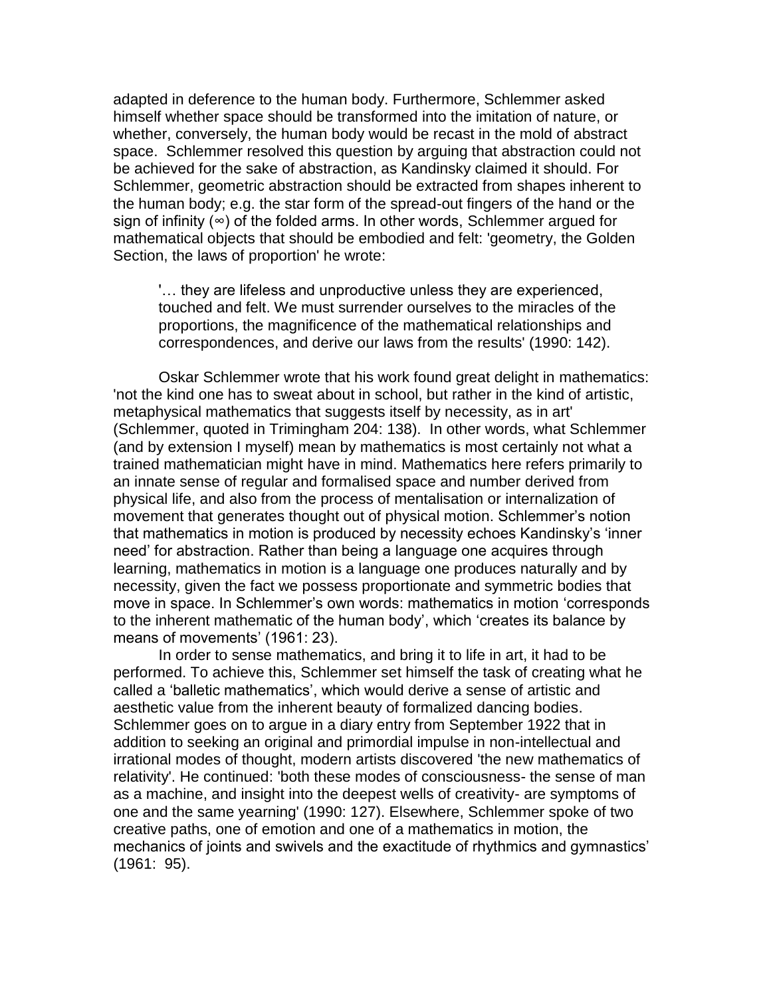adapted in deference to the human body. Furthermore, Schlemmer asked himself whether space should be transformed into the imitation of nature, or whether, conversely, the human body would be recast in the mold of abstract space. Schlemmer resolved this question by arguing that abstraction could not be achieved for the sake of abstraction, as Kandinsky claimed it should. For Schlemmer, geometric abstraction should be extracted from shapes inherent to the human body; e.g. the star form of the spread-out fingers of the hand or the sign of infinity (∞) of the folded arms. In other words, Schlemmer argued for mathematical objects that should be embodied and felt: 'geometry, the Golden Section, the laws of proportion' he wrote:

'… they are lifeless and unproductive unless they are experienced, touched and felt. We must surrender ourselves to the miracles of the proportions, the magnificence of the mathematical relationships and correspondences, and derive our laws from the results' (1990: 142).

Oskar Schlemmer wrote that his work found great delight in mathematics: 'not the kind one has to sweat about in school, but rather in the kind of artistic, metaphysical mathematics that suggests itself by necessity, as in art' (Schlemmer, quoted in Trimingham 204: 138). In other words, what Schlemmer (and by extension I myself) mean by mathematics is most certainly not what a trained mathematician might have in mind. Mathematics here refers primarily to an innate sense of regular and formalised space and number derived from physical life, and also from the process of mentalisation or internalization of movement that generates thought out of physical motion. Schlemmer's notion that mathematics in motion is produced by necessity echoes Kandinsky's 'inner need' for abstraction. Rather than being a language one acquires through learning, mathematics in motion is a language one produces naturally and by necessity, given the fact we possess proportionate and symmetric bodies that move in space. In Schlemmer's own words: mathematics in motion 'corresponds to the inherent mathematic of the human body', which 'creates its balance by means of movements' (1961: 23).

In order to sense mathematics, and bring it to life in art, it had to be performed. To achieve this, Schlemmer set himself the task of creating what he called a 'balletic mathematics', which would derive a sense of artistic and aesthetic value from the inherent beauty of formalized dancing bodies. Schlemmer goes on to argue in a diary entry from September 1922 that in addition to seeking an original and primordial impulse in non-intellectual and irrational modes of thought, modern artists discovered 'the new mathematics of relativity'. He continued: 'both these modes of consciousness- the sense of man as a machine, and insight into the deepest wells of creativity- are symptoms of one and the same yearning' (1990: 127). Elsewhere, Schlemmer spoke of two creative paths, one of emotion and one of a mathematics in motion, the mechanics of joints and swivels and the exactitude of rhythmics and gymnastics' (1961: 95).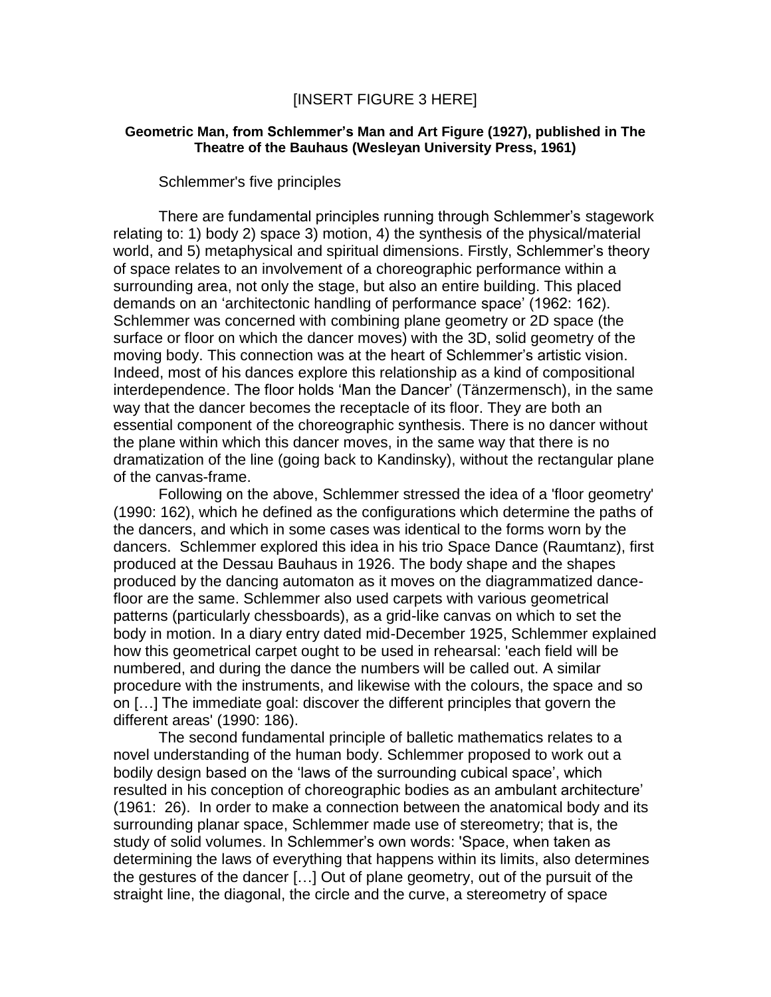## [INSERT FIGURE 3 HERE]

## **Geometric Man, from Schlemmer's Man and Art Figure (1927), published in The Theatre of the Bauhaus (Wesleyan University Press, 1961)**

Schlemmer's five principles

There are fundamental principles running through Schlemmer's stagework relating to: 1) body 2) space 3) motion, 4) the synthesis of the physical/material world, and 5) metaphysical and spiritual dimensions. Firstly, Schlemmer's theory of space relates to an involvement of a choreographic performance within a surrounding area, not only the stage, but also an entire building. This placed demands on an 'architectonic handling of performance space' (1962: 162). Schlemmer was concerned with combining plane geometry or 2D space (the surface or floor on which the dancer moves) with the 3D, solid geometry of the moving body. This connection was at the heart of Schlemmer's artistic vision. Indeed, most of his dances explore this relationship as a kind of compositional interdependence. The floor holds 'Man the Dancer' (Tänzermensch), in the same way that the dancer becomes the receptacle of its floor. They are both an essential component of the choreographic synthesis. There is no dancer without the plane within which this dancer moves, in the same way that there is no dramatization of the line (going back to Kandinsky), without the rectangular plane of the canvas-frame.

Following on the above, Schlemmer stressed the idea of a 'floor geometry' (1990: 162), which he defined as the configurations which determine the paths of the dancers, and which in some cases was identical to the forms worn by the dancers. Schlemmer explored this idea in his trio Space Dance (Raumtanz), first produced at the Dessau Bauhaus in 1926. The body shape and the shapes produced by the dancing automaton as it moves on the diagrammatized dancefloor are the same. Schlemmer also used carpets with various geometrical patterns (particularly chessboards), as a grid-like canvas on which to set the body in motion. In a diary entry dated mid-December 1925, Schlemmer explained how this geometrical carpet ought to be used in rehearsal: 'each field will be numbered, and during the dance the numbers will be called out. A similar procedure with the instruments, and likewise with the colours, the space and so on […] The immediate goal: discover the different principles that govern the different areas' (1990: 186).

The second fundamental principle of balletic mathematics relates to a novel understanding of the human body. Schlemmer proposed to work out a bodily design based on the 'laws of the surrounding cubical space', which resulted in his conception of choreographic bodies as an ambulant architecture' (1961: 26). In order to make a connection between the anatomical body and its surrounding planar space, Schlemmer made use of stereometry; that is, the study of solid volumes. In Schlemmer's own words: 'Space, when taken as determining the laws of everything that happens within its limits, also determines the gestures of the dancer […] Out of plane geometry, out of the pursuit of the straight line, the diagonal, the circle and the curve, a stereometry of space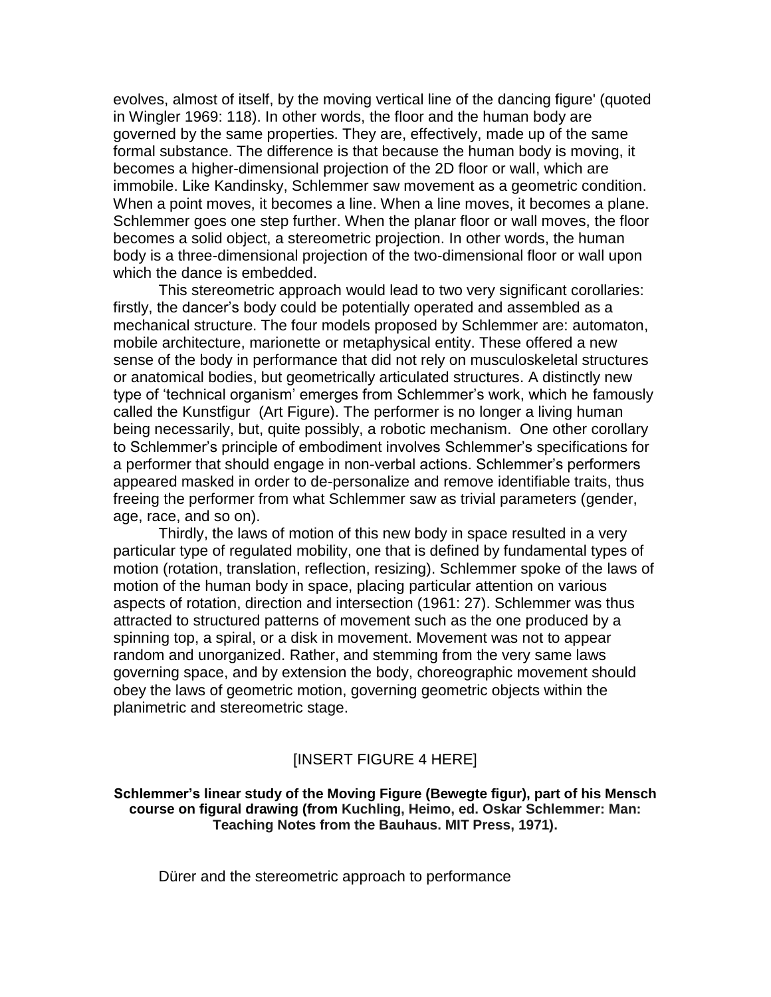evolves, almost of itself, by the moving vertical line of the dancing figure' (quoted in Wingler 1969: 118). In other words, the floor and the human body are governed by the same properties. They are, effectively, made up of the same formal substance. The difference is that because the human body is moving, it becomes a higher-dimensional projection of the 2D floor or wall, which are immobile. Like Kandinsky, Schlemmer saw movement as a geometric condition. When a point moves, it becomes a line. When a line moves, it becomes a plane. Schlemmer goes one step further. When the planar floor or wall moves, the floor becomes a solid object, a stereometric projection. In other words, the human body is a three-dimensional projection of the two-dimensional floor or wall upon which the dance is embedded.

This stereometric approach would lead to two very significant corollaries: firstly, the dancer's body could be potentially operated and assembled as a mechanical structure. The four models proposed by Schlemmer are: automaton, mobile architecture, marionette or metaphysical entity. These offered a new sense of the body in performance that did not rely on musculoskeletal structures or anatomical bodies, but geometrically articulated structures. A distinctly new type of 'technical organism' emerges from Schlemmer's work, which he famously called the Kunstfigur (Art Figure). The performer is no longer a living human being necessarily, but, quite possibly, a robotic mechanism. One other corollary to Schlemmer's principle of embodiment involves Schlemmer's specifications for a performer that should engage in non-verbal actions. Schlemmer's performers appeared masked in order to de-personalize and remove identifiable traits, thus freeing the performer from what Schlemmer saw as trivial parameters (gender, age, race, and so on).

Thirdly, the laws of motion of this new body in space resulted in a very particular type of regulated mobility, one that is defined by fundamental types of motion (rotation, translation, reflection, resizing). Schlemmer spoke of the laws of motion of the human body in space, placing particular attention on various aspects of rotation, direction and intersection (1961: 27). Schlemmer was thus attracted to structured patterns of movement such as the one produced by a spinning top, a spiral, or a disk in movement. Movement was not to appear random and unorganized. Rather, and stemming from the very same laws governing space, and by extension the body, choreographic movement should obey the laws of geometric motion, governing geometric objects within the planimetric and stereometric stage.

## [INSERT FIGURE 4 HERE]

**Schlemmer's linear study of the Moving Figure (Bewegte figur), part of his Mensch course on figural drawing (from Kuchling, Heimo, ed. Oskar Schlemmer: Man: Teaching Notes from the Bauhaus. MIT Press, 1971).** 

Dürer and the stereometric approach to performance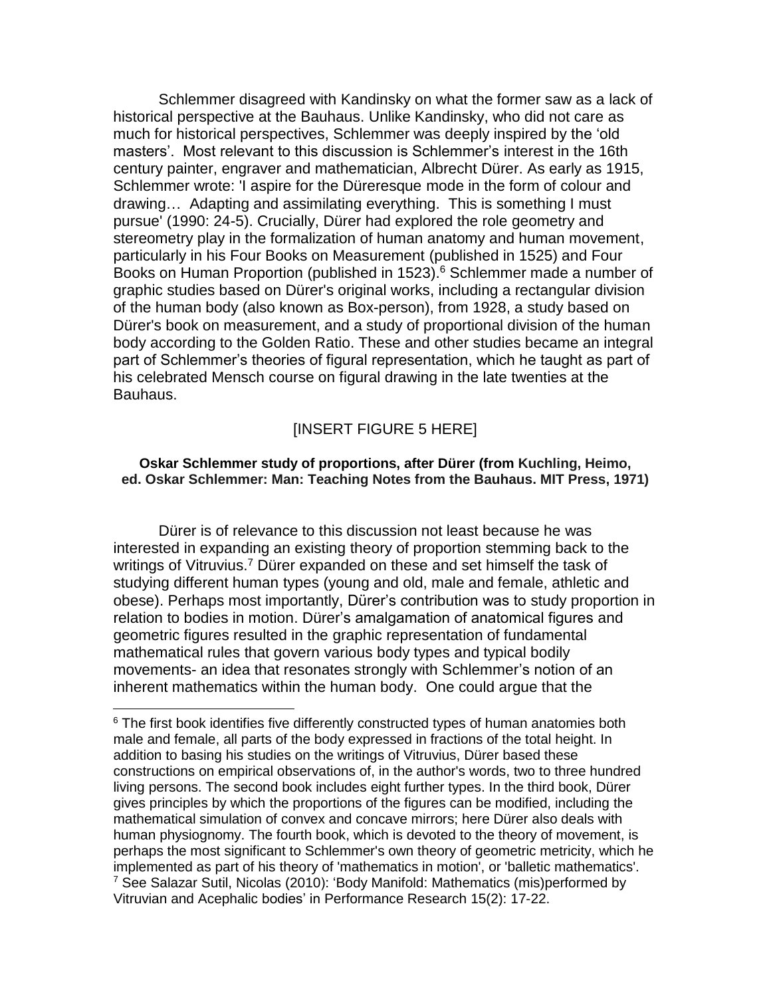Schlemmer disagreed with Kandinsky on what the former saw as a lack of historical perspective at the Bauhaus. Unlike Kandinsky, who did not care as much for historical perspectives, Schlemmer was deeply inspired by the 'old masters'. Most relevant to this discussion is Schlemmer's interest in the 16th century painter, engraver and mathematician, Albrecht Dürer. As early as 1915, Schlemmer wrote: 'I aspire for the Düreresque mode in the form of colour and drawing… Adapting and assimilating everything. This is something I must pursue' (1990: 24-5). Crucially, Dürer had explored the role geometry and stereometry play in the formalization of human anatomy and human movement, particularly in his Four Books on Measurement (published in 1525) and Four Books on Human Proportion (published in 1523).<sup>6</sup> Schlemmer made a number of graphic studies based on Dürer's original works, including a rectangular division of the human body (also known as Box-person), from 1928, a study based on Dürer's book on measurement, and a study of proportional division of the human body according to the Golden Ratio. These and other studies became an integral part of Schlemmer's theories of figural representation, which he taught as part of his celebrated Mensch course on figural drawing in the late twenties at the Bauhaus.

# [INSERT FIGURE 5 HERE]

## **Oskar Schlemmer study of proportions, after Dürer (from Kuchling, Heimo, ed. Oskar Schlemmer: Man: Teaching Notes from the Bauhaus. MIT Press, 1971)**

Dürer is of relevance to this discussion not least because he was interested in expanding an existing theory of proportion stemming back to the writings of Vitruvius.<sup>7</sup> Dürer expanded on these and set himself the task of studying different human types (young and old, male and female, athletic and obese). Perhaps most importantly, Dürer's contribution was to study proportion in relation to bodies in motion. Dürer's amalgamation of anatomical figures and geometric figures resulted in the graphic representation of fundamental mathematical rules that govern various body types and typical bodily movements- an idea that resonates strongly with Schlemmer's notion of an inherent mathematics within the human body. One could argue that the

<sup>&</sup>lt;sup>6</sup> The first book identifies five differently constructed types of human anatomies both male and female, all parts of the body expressed in fractions of the total height. In addition to basing his studies on the writings of Vitruvius, Dürer based these constructions on empirical observations of, in the author's words, two to three hundred living persons. The second book includes eight further types. In the third book, Dürer gives principles by which the proportions of the figures can be modified, including the mathematical simulation of convex and concave mirrors; here Dürer also deals with human physiognomy. The fourth book, which is devoted to the theory of movement, is perhaps the most significant to Schlemmer's own theory of geometric metricity, which he implemented as part of his theory of 'mathematics in motion', or 'balletic mathematics'. 7 See Salazar Sutil, Nicolas (2010): 'Body Manifold: Mathematics (mis)performed by Vitruvian and Acephalic bodies' in Performance Research 15(2): 17-22.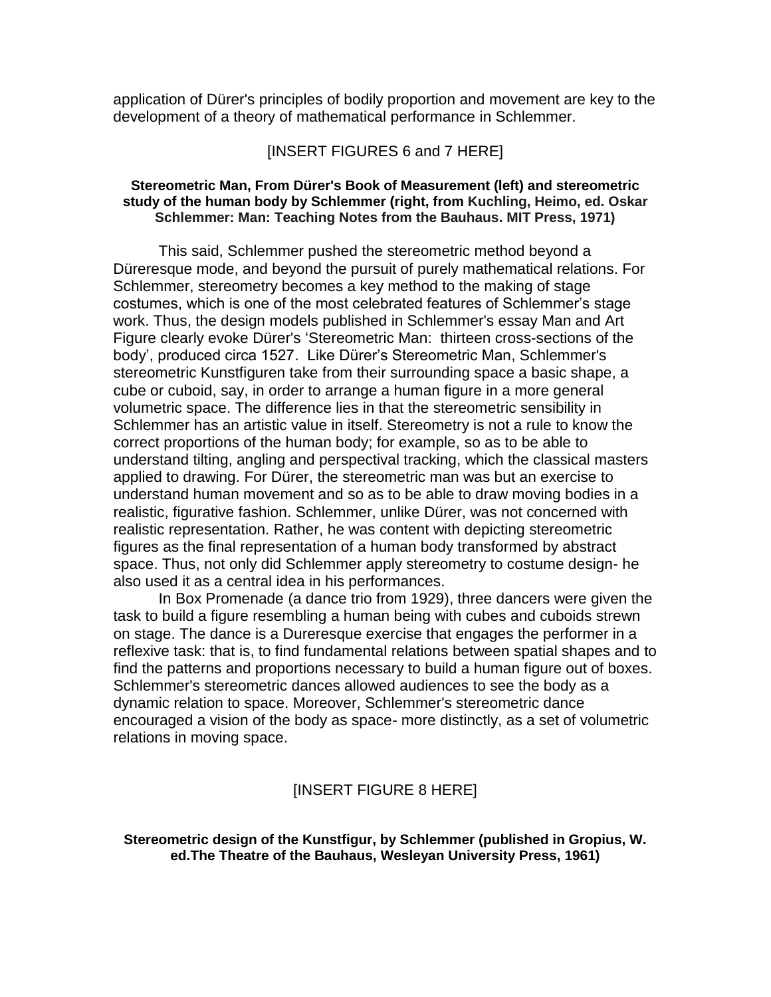application of Dürer's principles of bodily proportion and movement are key to the development of a theory of mathematical performance in Schlemmer.

### [INSERT FIGURES 6 and 7 HERE]

### **Stereometric Man, From Dürer's Book of Measurement (left) and stereometric study of the human body by Schlemmer (right, from Kuchling, Heimo, ed. Oskar Schlemmer: Man: Teaching Notes from the Bauhaus. MIT Press, 1971)**

This said, Schlemmer pushed the stereometric method beyond a Düreresque mode, and beyond the pursuit of purely mathematical relations. For Schlemmer, stereometry becomes a key method to the making of stage costumes, which is one of the most celebrated features of Schlemmer's stage work. Thus, the design models published in Schlemmer's essay Man and Art Figure clearly evoke Dürer's 'Stereometric Man: thirteen cross-sections of the body', produced circa 1527. Like Dürer's Stereometric Man, Schlemmer's stereometric Kunstfiguren take from their surrounding space a basic shape, a cube or cuboid, say, in order to arrange a human figure in a more general volumetric space. The difference lies in that the stereometric sensibility in Schlemmer has an artistic value in itself. Stereometry is not a rule to know the correct proportions of the human body; for example, so as to be able to understand tilting, angling and perspectival tracking, which the classical masters applied to drawing. For Dürer, the stereometric man was but an exercise to understand human movement and so as to be able to draw moving bodies in a realistic, figurative fashion. Schlemmer, unlike Dürer, was not concerned with realistic representation. Rather, he was content with depicting stereometric figures as the final representation of a human body transformed by abstract space. Thus, not only did Schlemmer apply stereometry to costume design- he also used it as a central idea in his performances.

In Box Promenade (a dance trio from 1929), three dancers were given the task to build a figure resembling a human being with cubes and cuboids strewn on stage. The dance is a Dureresque exercise that engages the performer in a reflexive task: that is, to find fundamental relations between spatial shapes and to find the patterns and proportions necessary to build a human figure out of boxes. Schlemmer's stereometric dances allowed audiences to see the body as a dynamic relation to space. Moreover, Schlemmer's stereometric dance encouraged a vision of the body as space- more distinctly, as a set of volumetric relations in moving space.

## [INSERT FIGURE 8 HERE]

## **Stereometric design of the Kunstfigur, by Schlemmer (published in Gropius, W. ed.The Theatre of the Bauhaus, Wesleyan University Press, 1961)**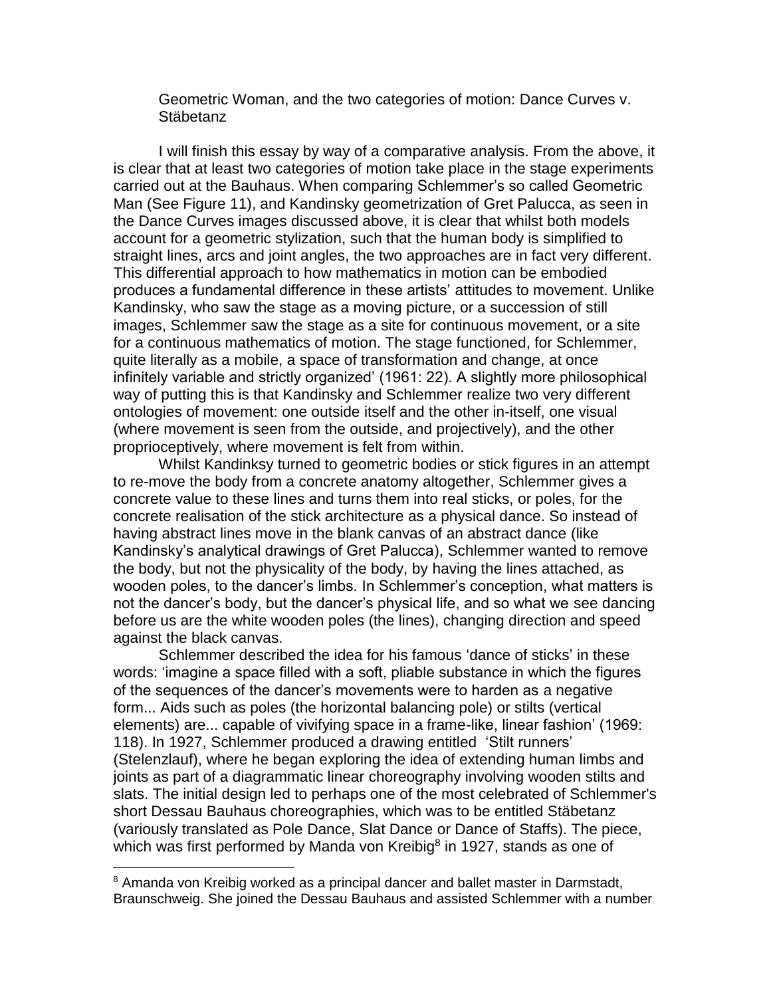Geometric Woman, and the two categories of motion: Dance Curves v. Stäbetanz

I will finish this essay by way of a comparative analysis. From the above, it is clear that at least two categories of motion take place in the stage experiments carried out at the Bauhaus. When comparing Schlemmer's so called Geometric Man (See Figure 11), and Kandinsky geometrization of Gret Palucca, as seen in the Dance Curves images discussed above, it is clear that whilst both models account for a geometric stylization, such that the human body is simplified to straight lines, arcs and joint angles, the two approaches are in fact very different. This differential approach to how mathematics in motion can be embodied produces a fundamental difference in these artists' attitudes to movement. Unlike Kandinsky, who saw the stage as a moving picture, or a succession of still images, Schlemmer saw the stage as a site for continuous movement, or a site for a continuous mathematics of motion. The stage functioned, for Schlemmer, quite literally as a mobile, a space of transformation and change, at once infinitely variable and strictly organized' (1961: 22). A slightly more philosophical way of putting this is that Kandinsky and Schlemmer realize two very different ontologies of movement: one outside itself and the other in-itself, one visual (where movement is seen from the outside, and projectively), and the other proprioceptively, where movement is felt from within.

Whilst Kandinksy turned to geometric bodies or stick figures in an attempt to re-move the body from a concrete anatomy altogether, Schlemmer gives a concrete value to these lines and turns them into real sticks, or poles, for the concrete realisation of the stick architecture as a physical dance. So instead of having abstract lines move in the blank canvas of an abstract dance (like Kandinsky's analytical drawings of Gret Palucca), Schlemmer wanted to remove the body, but not the physicality of the body, by having the lines attached, as wooden poles, to the dancer's limbs. In Schlemmer's conception, what matters is not the dancer's body, but the dancer's physical life, and so what we see dancing before us are the white wooden poles (the lines), changing direction and speed against the black canvas.

Schlemmer described the idea for his famous 'dance of sticks' in these words: 'imagine a space filled with a soft, pliable substance in which the figures of the sequences of the dancer's movements were to harden as a negative form... Aids such as poles (the horizontal balancing pole) or stilts (vertical elements) are... capable of vivifying space in a frame-like, linear fashion' (1969: 118). In 1927, Schlemmer produced a drawing entitled 'Stilt runners' (Stelenzlauf), where he began exploring the idea of extending human limbs and joints as part of a diagrammatic linear choreography involving wooden stilts and slats. The initial design led to perhaps one of the most celebrated of Schlemmer's short Dessau Bauhaus choreographies, which was to be entitled Stäbetanz (variously translated as Pole Dance, Slat Dance or Dance of Staffs). The piece, which was first performed by Manda von Kreibig<sup>8</sup> in 1927, stands as one of

l

<sup>&</sup>lt;sup>8</sup> Amanda von Kreibig worked as a principal dancer and ballet master in Darmstadt, Braunschweig. She joined the Dessau Bauhaus and assisted Schlemmer with a number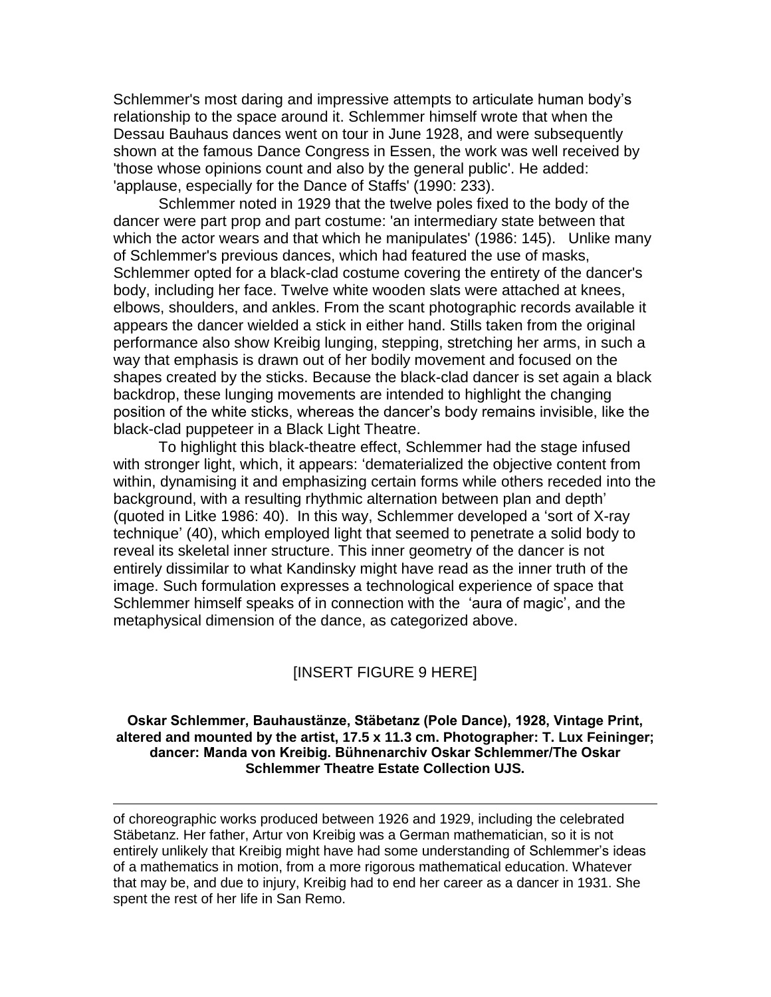Schlemmer's most daring and impressive attempts to articulate human body's relationship to the space around it. Schlemmer himself wrote that when the Dessau Bauhaus dances went on tour in June 1928, and were subsequently shown at the famous Dance Congress in Essen, the work was well received by 'those whose opinions count and also by the general public'. He added: 'applause, especially for the Dance of Staffs' (1990: 233).

Schlemmer noted in 1929 that the twelve poles fixed to the body of the dancer were part prop and part costume: 'an intermediary state between that which the actor wears and that which he manipulates' (1986: 145). Unlike many of Schlemmer's previous dances, which had featured the use of masks, Schlemmer opted for a black-clad costume covering the entirety of the dancer's body, including her face. Twelve white wooden slats were attached at knees, elbows, shoulders, and ankles. From the scant photographic records available it appears the dancer wielded a stick in either hand. Stills taken from the original performance also show Kreibig lunging, stepping, stretching her arms, in such a way that emphasis is drawn out of her bodily movement and focused on the shapes created by the sticks. Because the black-clad dancer is set again a black backdrop, these lunging movements are intended to highlight the changing position of the white sticks, whereas the dancer's body remains invisible, like the black-clad puppeteer in a Black Light Theatre.

To highlight this black-theatre effect, Schlemmer had the stage infused with stronger light, which, it appears: 'dematerialized the objective content from within, dynamising it and emphasizing certain forms while others receded into the background, with a resulting rhythmic alternation between plan and depth' (quoted in Litke 1986: 40). In this way, Schlemmer developed a 'sort of X-ray technique' (40), which employed light that seemed to penetrate a solid body to reveal its skeletal inner structure. This inner geometry of the dancer is not entirely dissimilar to what Kandinsky might have read as the inner truth of the image. Such formulation expresses a technological experience of space that Schlemmer himself speaks of in connection with the 'aura of magic', and the metaphysical dimension of the dance, as categorized above.

## [INSERT FIGURE 9 HERE]

### **Oskar Schlemmer, Bauhausẗnze, Sẗbetanz (Pole Dance), 1928, Vintage Print, altered and mounted by the artist, 17.5 x 11.3 cm. Photographer: T. Lux Feininger; dancer: Manda von Kreibig. B̈hnenarchiv Oskar Schlemmer/The Oskar Schlemmer Theatre Estate Collection UJS.**

of choreographic works produced between 1926 and 1929, including the celebrated Stäbetanz. Her father, Artur von Kreibig was a German mathematician, so it is not entirely unlikely that Kreibig might have had some understanding of Schlemmer's ideas of a mathematics in motion, from a more rigorous mathematical education. Whatever that may be, and due to injury, Kreibig had to end her career as a dancer in 1931. She spent the rest of her life in San Remo.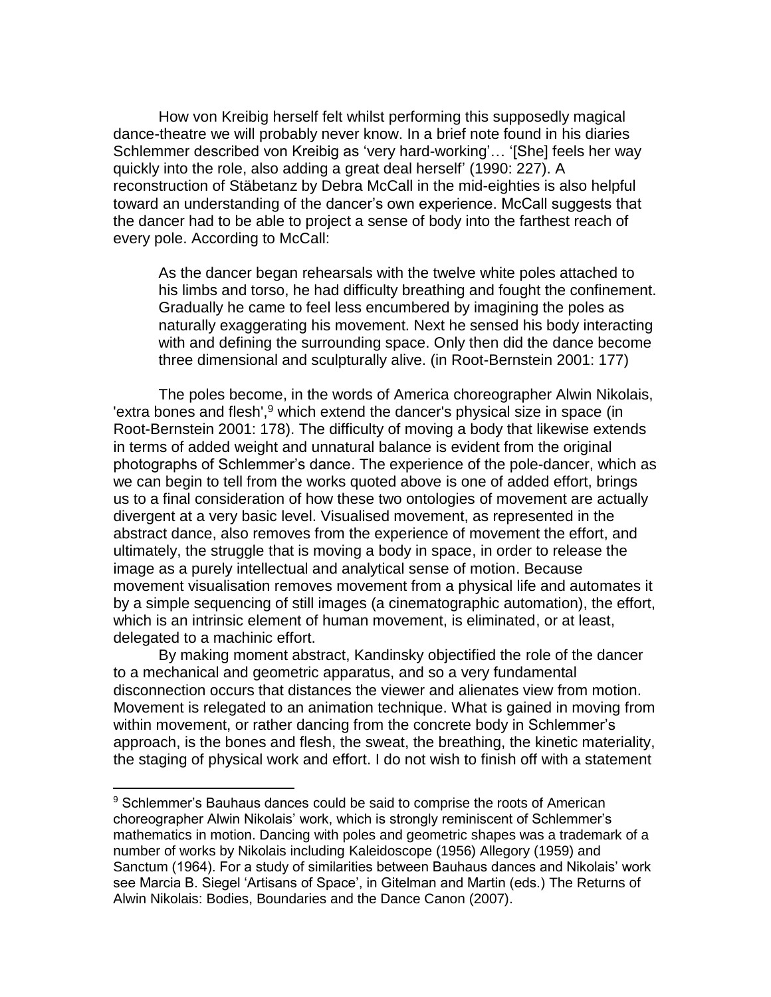How von Kreibig herself felt whilst performing this supposedly magical dance-theatre we will probably never know. In a brief note found in his diaries Schlemmer described von Kreibig as 'very hard-working'… '[She] feels her way quickly into the role, also adding a great deal herself' (1990: 227). A reconstruction of Stäbetanz by Debra McCall in the mid-eighties is also helpful toward an understanding of the dancer's own experience. McCall suggests that the dancer had to be able to project a sense of body into the farthest reach of every pole. According to McCall:

As the dancer began rehearsals with the twelve white poles attached to his limbs and torso, he had difficulty breathing and fought the confinement. Gradually he came to feel less encumbered by imagining the poles as naturally exaggerating his movement. Next he sensed his body interacting with and defining the surrounding space. Only then did the dance become three dimensional and sculpturally alive. (in Root-Bernstein 2001: 177)

The poles become, in the words of America choreographer Alwin Nikolais, 'extra bones and flesh',<sup>9</sup> which extend the dancer's physical size in space (in Root-Bernstein 2001: 178). The difficulty of moving a body that likewise extends in terms of added weight and unnatural balance is evident from the original photographs of Schlemmer's dance. The experience of the pole-dancer, which as we can begin to tell from the works quoted above is one of added effort, brings us to a final consideration of how these two ontologies of movement are actually divergent at a very basic level. Visualised movement, as represented in the abstract dance, also removes from the experience of movement the effort, and ultimately, the struggle that is moving a body in space, in order to release the image as a purely intellectual and analytical sense of motion. Because movement visualisation removes movement from a physical life and automates it by a simple sequencing of still images (a cinematographic automation), the effort, which is an intrinsic element of human movement, is eliminated, or at least, delegated to a machinic effort.

By making moment abstract, Kandinsky objectified the role of the dancer to a mechanical and geometric apparatus, and so a very fundamental disconnection occurs that distances the viewer and alienates view from motion. Movement is relegated to an animation technique. What is gained in moving from within movement, or rather dancing from the concrete body in Schlemmer's approach, is the bones and flesh, the sweat, the breathing, the kinetic materiality, the staging of physical work and effort. I do not wish to finish off with a statement

<sup>&</sup>lt;sup>9</sup> Schlemmer's Bauhaus dances could be said to comprise the roots of American choreographer Alwin Nikolais' work, which is strongly reminiscent of Schlemmer's mathematics in motion. Dancing with poles and geometric shapes was a trademark of a number of works by Nikolais including Kaleidoscope (1956) Allegory (1959) and Sanctum (1964). For a study of similarities between Bauhaus dances and Nikolais' work see Marcia B. Siegel 'Artisans of Space', in Gitelman and Martin (eds.) The Returns of Alwin Nikolais: Bodies, Boundaries and the Dance Canon (2007).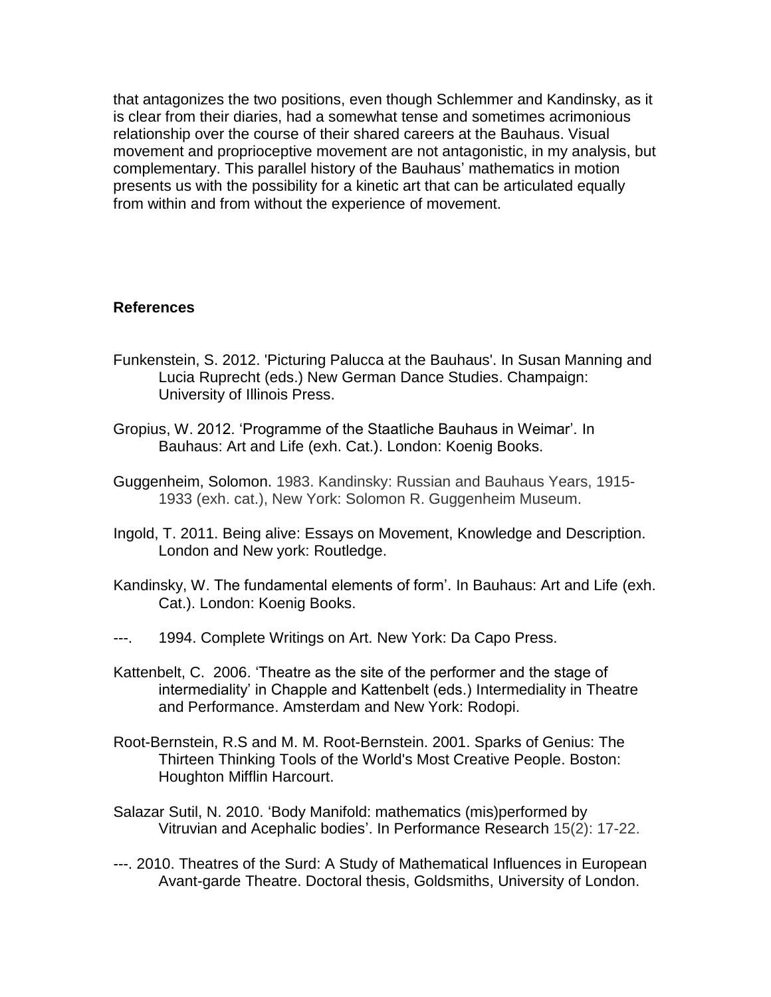that antagonizes the two positions, even though Schlemmer and Kandinsky, as it is clear from their diaries, had a somewhat tense and sometimes acrimonious relationship over the course of their shared careers at the Bauhaus. Visual movement and proprioceptive movement are not antagonistic, in my analysis, but complementary. This parallel history of the Bauhaus' mathematics in motion presents us with the possibility for a kinetic art that can be articulated equally from within and from without the experience of movement.

# **References**

- Funkenstein, S. 2012. 'Picturing Palucca at the Bauhaus'. In Susan Manning and Lucia Ruprecht (eds.) New German Dance Studies. Champaign: University of Illinois Press.
- Gropius, W. 2012. 'Programme of the Staatliche Bauhaus in Weimar'. In Bauhaus: Art and Life (exh. Cat.). London: Koenig Books.
- Guggenheim, Solomon. 1983. Kandinsky: Russian and Bauhaus Years, 1915- 1933 (exh. cat.), New York: Solomon R. Guggenheim Museum.
- Ingold, T. 2011. Being alive: Essays on Movement, Knowledge and Description. London and New york: Routledge.
- Kandinsky, W. The fundamental elements of form'. In Bauhaus: Art and Life (exh. Cat.). London: Koenig Books.
- ---. 1994. Complete Writings on Art. New York: Da Capo Press.
- Kattenbelt, C. 2006. 'Theatre as the site of the performer and the stage of intermediality' in Chapple and Kattenbelt (eds.) Intermediality in Theatre and Performance. Amsterdam and New York: Rodopi.
- Root-Bernstein, R.S and M. M. Root-Bernstein. 2001. Sparks of Genius: The Thirteen Thinking Tools of the World's Most Creative People. Boston: Houghton Mifflin Harcourt.
- Salazar Sutil, N. 2010. 'Body Manifold: mathematics (mis)performed by Vitruvian and Acephalic bodies'. In Performance Research 15(2): 17-22.
- ---. 2010. Theatres of the Surd: A Study of Mathematical Influences in European Avant-garde Theatre. Doctoral thesis, Goldsmiths, University of London.